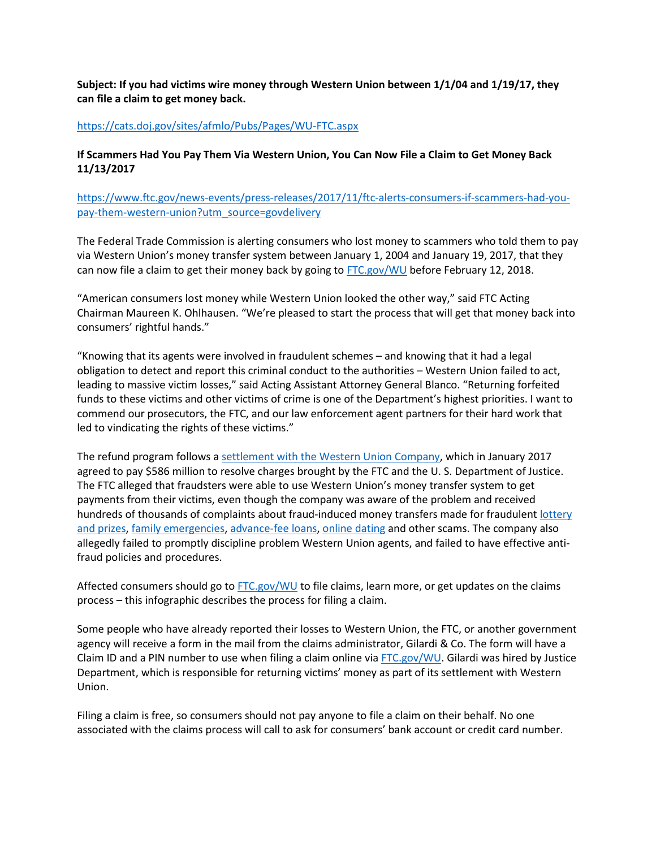**Subject: If you had victims wire money through Western Union between 1/1/04 and 1/19/17, they can file a claim to get money back.**

## <https://cats.doj.gov/sites/afmlo/Pubs/Pages/WU-FTC.aspx>

## **If Scammers Had You Pay Them Via Western Union, You Can Now File a Claim to Get Money Back 11/13/2017**

[https://www.ftc.gov/news-events/press-releases/2017/11/ftc-alerts-consumers-if-scammers-had-you](https://www.ftc.gov/news-events/press-releases/2017/11/ftc-alerts-consumers-if-scammers-had-you-pay-them-western-union?utm_source=govdelivery)[pay-them-western-union?utm\\_source=govdelivery](https://www.ftc.gov/news-events/press-releases/2017/11/ftc-alerts-consumers-if-scammers-had-you-pay-them-western-union?utm_source=govdelivery)

The Federal Trade Commission is alerting consumers who lost money to scammers who told them to pay via Western Union's money transfer system between January 1, 2004 and January 19, 2017, that they can now file a claim to get their money back by going t[o FTC.gov/WU](https://www.ftc.gov/WU) before February 12, 2018.

"American consumers lost money while Western Union looked the other way," said FTC Acting Chairman Maureen K. Ohlhausen. "We're pleased to start the process that will get that money back into consumers' rightful hands."

"Knowing that its agents were involved in fraudulent schemes – and knowing that it had a legal obligation to detect and report this criminal conduct to the authorities – Western Union failed to act, leading to massive victim losses," said Acting Assistant Attorney General Blanco. "Returning forfeited funds to these victims and other victims of crime is one of the Department's highest priorities. I want to commend our prosecutors, the FTC, and our law enforcement agent partners for their hard work that led to vindicating the rights of these victims."

The refund program follows a [settlement with the Western Union Company,](https://www.ftc.gov/news-events/press-releases/2017/01/western-union-admits-anti-money-laundering-violations-settles) which in January 2017 agreed to pay \$586 million to resolve charges brought by the FTC and the U. S. Department of Justice. The FTC alleged that fraudsters were able to use Western Union's money transfer system to get payments from their victims, even though the company was aware of the problem and received hundreds of thousands of complaints about fraud-induced money transfers made for fraudulent [lottery](https://www.consumer.ftc.gov/articles/0199-prize-scams)  [and prizes,](https://www.consumer.ftc.gov/articles/0199-prize-scams) [family emergencies,](https://www.ftc.gov/imposters) [advance-fee loans,](https://www.consumer.ftc.gov/articles/0078-advance-fee-loans) [online dating](https://www.consumer.ftc.gov/articles/0004-online-dating-scams) and other scams. The company also allegedly failed to promptly discipline problem Western Union agents, and failed to have effective antifraud policies and procedures.

Affected consumers should go t[o FTC.gov/WU](https://www.ftc.gov/WU) to file claims, learn more, or get updates on the claims process – this infographic describes the process for filing a claim.

Some people who have already reported their losses to Western Union, the FTC, or another government agency will receive a form in the mail from the claims administrator, Gilardi & Co. The form will have a Claim ID and a PIN number to use when filing a claim online via  $FTC.gov/WU$ . Gilardi was hired by Justice Department, which is responsible for returning victims' money as part of its settlement with Western Union.

Filing a claim is free, so consumers should not pay anyone to file a claim on their behalf. No one associated with the claims process will call to ask for consumers' bank account or credit card number.